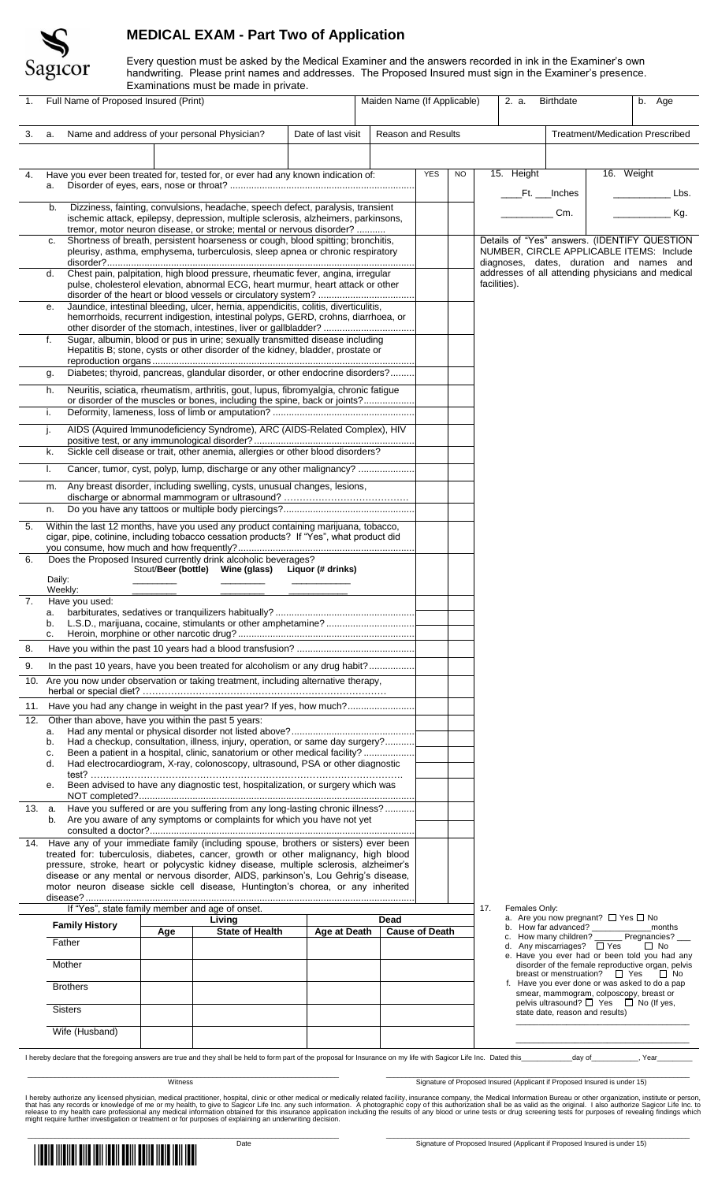

## **MEDICAL EXAM - Part Two of Application**

Every question must be asked by the Medical Examiner and the answers recorded in ink in the Examiner's own handwriting. Please print names and addresses. The Proposed Insured must sign in the Examiner's presence. Examinations must be made in private.

| 1.     | LA all illi lations indst be made in private.<br>Full Name of Proposed Insured (Print)                                                                                         |                                                                                                                                                                                                                                                     |  |                                                                                                                                                                            |  |  |                       | Maiden Name (If Applicable)<br>$\overline{b}$ . Age<br>2. a.<br><b>Birthdate</b> |           |                                                                                 |                                                                                                        |                                                                                                                 |                                               |                                                                                               |  |
|--------|--------------------------------------------------------------------------------------------------------------------------------------------------------------------------------|-----------------------------------------------------------------------------------------------------------------------------------------------------------------------------------------------------------------------------------------------------|--|----------------------------------------------------------------------------------------------------------------------------------------------------------------------------|--|--|-----------------------|----------------------------------------------------------------------------------|-----------|---------------------------------------------------------------------------------|--------------------------------------------------------------------------------------------------------|-----------------------------------------------------------------------------------------------------------------|-----------------------------------------------|-----------------------------------------------------------------------------------------------|--|
| 3.     | a.                                                                                                                                                                             | Name and address of your personal Physician?<br>Date of last visit                                                                                                                                                                                  |  |                                                                                                                                                                            |  |  |                       | <b>Reason and Results</b>                                                        |           |                                                                                 |                                                                                                        | Treatment/Medication Prescribed                                                                                 |                                               |                                                                                               |  |
|        |                                                                                                                                                                                |                                                                                                                                                                                                                                                     |  |                                                                                                                                                                            |  |  |                       |                                                                                  |           |                                                                                 |                                                                                                        |                                                                                                                 |                                               |                                                                                               |  |
| 4.     | a.                                                                                                                                                                             | Have you ever been treated for, tested for, or ever had any known indication of:                                                                                                                                                                    |  |                                                                                                                                                                            |  |  |                       | <b>YES</b>                                                                       | <b>NO</b> |                                                                                 | 15. Height                                                                                             |                                                                                                                 | 16. Weight                                    |                                                                                               |  |
|        |                                                                                                                                                                                |                                                                                                                                                                                                                                                     |  |                                                                                                                                                                            |  |  |                       |                                                                                  |           |                                                                                 | _Ft. __Inches                                                                                          |                                                                                                                 |                                               | Lbs.                                                                                          |  |
|        |                                                                                                                                                                                | Dizziness, fainting, convulsions, headache, speech defect, paralysis, transient<br>b.<br>ischemic attack, epilepsy, depression, multiple sclerosis, alzheimers, parkinsons,<br>tremor, motor neuron disease, or stroke; mental or nervous disorder? |  |                                                                                                                                                                            |  |  |                       |                                                                                  |           |                                                                                 |                                                                                                        | Cm.                                                                                                             |                                               | Kg.                                                                                           |  |
|        | C.                                                                                                                                                                             | Shortness of breath, persistent hoarseness or cough, blood spitting; bronchitis,<br>pleurisy, asthma, emphysema, turberculosis, sleep apnea or chronic respiratory                                                                                  |  |                                                                                                                                                                            |  |  |                       |                                                                                  |           |                                                                                 |                                                                                                        |                                                                                                                 |                                               | Details of "Yes" answers. (IDENTIFY QUESTION<br>NUMBER, CIRCLE APPLICABLE ITEMS: Include      |  |
|        | d.                                                                                                                                                                             | Chest pain, palpitation, high blood pressure, rheumatic fever, angina, irregular<br>pulse, cholesterol elevation, abnormal ECG, heart murmur, heart attack or other                                                                                 |  |                                                                                                                                                                            |  |  |                       |                                                                                  |           | facilities).                                                                    |                                                                                                        |                                                                                                                 |                                               | diagnoses, dates, duration and names and<br>addresses of all attending physicians and medical |  |
|        | е.                                                                                                                                                                             | Jaundice, intestinal bleeding, ulcer, hernia, appendicitis, colitis, diverticulitis,<br>hemorrhoids, recurrent indigestion, intestinal polyps, GERD, crohns, diarrhoea, or                                                                          |  |                                                                                                                                                                            |  |  |                       |                                                                                  |           |                                                                                 |                                                                                                        |                                                                                                                 |                                               |                                                                                               |  |
|        | f.                                                                                                                                                                             | other disorder of the stomach, intestines, liver or gallbladder?<br>Sugar, albumin, blood or pus in urine; sexually transmitted disease including                                                                                                   |  |                                                                                                                                                                            |  |  |                       |                                                                                  |           |                                                                                 |                                                                                                        |                                                                                                                 |                                               |                                                                                               |  |
|        |                                                                                                                                                                                | Hepatitis B; stone, cysts or other disorder of the kidney, bladder, prostate or                                                                                                                                                                     |  |                                                                                                                                                                            |  |  |                       |                                                                                  |           |                                                                                 |                                                                                                        |                                                                                                                 |                                               |                                                                                               |  |
|        | g.<br>h.                                                                                                                                                                       |                                                                                                                                                                                                                                                     |  | Diabetes; thyroid, pancreas, glandular disorder, or other endocrine disorders?<br>Neuritis, sciatica, rheumatism, arthritis, gout, lupus, fibromyalgia, chronic fatigue    |  |  |                       |                                                                                  |           |                                                                                 |                                                                                                        |                                                                                                                 |                                               |                                                                                               |  |
|        |                                                                                                                                                                                |                                                                                                                                                                                                                                                     |  | or disorder of the muscles or bones, including the spine, back or joints?                                                                                                  |  |  |                       |                                                                                  |           |                                                                                 |                                                                                                        |                                                                                                                 |                                               |                                                                                               |  |
|        | i.<br>j.                                                                                                                                                                       |                                                                                                                                                                                                                                                     |  | AIDS (Aquired Immunodeficiency Syndrome), ARC (AIDS-Related Complex), HIV                                                                                                  |  |  |                       |                                                                                  |           |                                                                                 |                                                                                                        |                                                                                                                 |                                               |                                                                                               |  |
|        | k.                                                                                                                                                                             |                                                                                                                                                                                                                                                     |  | Sickle cell disease or trait, other anemia, allergies or other blood disorders?                                                                                            |  |  |                       |                                                                                  |           |                                                                                 |                                                                                                        |                                                                                                                 |                                               |                                                                                               |  |
|        | I.                                                                                                                                                                             |                                                                                                                                                                                                                                                     |  | Cancer, tumor, cyst, polyp, lump, discharge or any other malignancy?                                                                                                       |  |  |                       |                                                                                  |           |                                                                                 |                                                                                                        |                                                                                                                 |                                               |                                                                                               |  |
|        | m.                                                                                                                                                                             |                                                                                                                                                                                                                                                     |  | Any breast disorder, including swelling, cysts, unusual changes, lesions,                                                                                                  |  |  |                       |                                                                                  |           |                                                                                 |                                                                                                        |                                                                                                                 |                                               |                                                                                               |  |
|        | n.                                                                                                                                                                             |                                                                                                                                                                                                                                                     |  |                                                                                                                                                                            |  |  |                       |                                                                                  |           |                                                                                 |                                                                                                        |                                                                                                                 |                                               |                                                                                               |  |
| 5.     | Within the last 12 months, have you used any product containing marijuana, tobacco,<br>cigar, pipe, cotinine, including tobacco cessation products? If "Yes", what product did |                                                                                                                                                                                                                                                     |  |                                                                                                                                                                            |  |  |                       |                                                                                  |           |                                                                                 |                                                                                                        |                                                                                                                 |                                               |                                                                                               |  |
| 6.     |                                                                                                                                                                                |                                                                                                                                                                                                                                                     |  | Does the Proposed Insured currently drink alcoholic beverages?<br>Stout/Beer (bottle) Wine (glass) Liquor (# drinks)                                                       |  |  |                       |                                                                                  |           |                                                                                 |                                                                                                        |                                                                                                                 |                                               |                                                                                               |  |
|        | Daily:                                                                                                                                                                         | Weekly:                                                                                                                                                                                                                                             |  |                                                                                                                                                                            |  |  |                       |                                                                                  |           |                                                                                 |                                                                                                        |                                                                                                                 |                                               |                                                                                               |  |
| 7.     |                                                                                                                                                                                | Have you used:                                                                                                                                                                                                                                      |  | a. barbiturates, sedatives or tranquilizers habitually?                                                                                                                    |  |  |                       |                                                                                  |           |                                                                                 |                                                                                                        |                                                                                                                 |                                               |                                                                                               |  |
|        | b.<br>C.                                                                                                                                                                       |                                                                                                                                                                                                                                                     |  |                                                                                                                                                                            |  |  |                       |                                                                                  |           |                                                                                 |                                                                                                        |                                                                                                                 |                                               |                                                                                               |  |
| 8.     |                                                                                                                                                                                |                                                                                                                                                                                                                                                     |  |                                                                                                                                                                            |  |  |                       |                                                                                  |           |                                                                                 |                                                                                                        |                                                                                                                 |                                               |                                                                                               |  |
| 9.     |                                                                                                                                                                                |                                                                                                                                                                                                                                                     |  | In the past 10 years, have you been treated for alcoholism or any drug habit?                                                                                              |  |  |                       |                                                                                  |           |                                                                                 |                                                                                                        |                                                                                                                 |                                               |                                                                                               |  |
| 10.    | Are you now under observation or taking treatment, including alternative therapy,                                                                                              |                                                                                                                                                                                                                                                     |  |                                                                                                                                                                            |  |  |                       |                                                                                  |           |                                                                                 |                                                                                                        |                                                                                                                 |                                               |                                                                                               |  |
|        |                                                                                                                                                                                |                                                                                                                                                                                                                                                     |  | 11. Have you had any change in weight in the past year? If yes, how much?                                                                                                  |  |  |                       |                                                                                  |           |                                                                                 |                                                                                                        |                                                                                                                 |                                               |                                                                                               |  |
| 12.    | a.                                                                                                                                                                             | Other than above, have you within the past 5 years:                                                                                                                                                                                                 |  |                                                                                                                                                                            |  |  |                       |                                                                                  |           |                                                                                 |                                                                                                        |                                                                                                                 |                                               |                                                                                               |  |
|        | b.<br>c.                                                                                                                                                                       | Had a checkup, consultation, illness, injury, operation, or same day surgery?<br>Been a patient in a hospital, clinic, sanatorium or other medical facility?                                                                                        |  |                                                                                                                                                                            |  |  |                       |                                                                                  |           |                                                                                 |                                                                                                        |                                                                                                                 |                                               |                                                                                               |  |
|        | d.                                                                                                                                                                             | Had electrocardiogram, X-ray, colonoscopy, ultrasound, PSA or other diagnostic                                                                                                                                                                      |  |                                                                                                                                                                            |  |  |                       |                                                                                  |           |                                                                                 |                                                                                                        |                                                                                                                 |                                               |                                                                                               |  |
|        | е.                                                                                                                                                                             |                                                                                                                                                                                                                                                     |  | Been advised to have any diagnostic test, hospitalization, or surgery which was                                                                                            |  |  |                       |                                                                                  |           |                                                                                 |                                                                                                        |                                                                                                                 |                                               |                                                                                               |  |
| 13. a. |                                                                                                                                                                                |                                                                                                                                                                                                                                                     |  | Have you suffered or are you suffering from any long-lasting chronic illness?                                                                                              |  |  |                       |                                                                                  |           |                                                                                 |                                                                                                        |                                                                                                                 |                                               |                                                                                               |  |
|        | b.                                                                                                                                                                             |                                                                                                                                                                                                                                                     |  | Are you aware of any symptoms or complaints for which you have not yet                                                                                                     |  |  |                       |                                                                                  |           |                                                                                 |                                                                                                        |                                                                                                                 |                                               |                                                                                               |  |
| 14.    |                                                                                                                                                                                |                                                                                                                                                                                                                                                     |  | Have any of your immediate family (including spouse, brothers or sisters) ever been<br>treated for: tuberculosis, diabetes, cancer, growth or other malignancy, high blood |  |  |                       |                                                                                  |           |                                                                                 |                                                                                                        |                                                                                                                 |                                               |                                                                                               |  |
|        | pressure, stroke, heart or polycystic kidney disease, multiple sclerosis, alzheimer's<br>disease or any mental or nervous disorder, AIDS, parkinson's, Lou Gehrig's disease,   |                                                                                                                                                                                                                                                     |  |                                                                                                                                                                            |  |  |                       |                                                                                  |           |                                                                                 |                                                                                                        |                                                                                                                 |                                               |                                                                                               |  |
|        | motor neuron disease sickle cell disease, Huntington's chorea, or any inherited                                                                                                |                                                                                                                                                                                                                                                     |  |                                                                                                                                                                            |  |  |                       |                                                                                  |           |                                                                                 |                                                                                                        |                                                                                                                 |                                               |                                                                                               |  |
|        |                                                                                                                                                                                | If "Yes", state family member and age of onset.<br>Living<br>Dead                                                                                                                                                                                   |  |                                                                                                                                                                            |  |  |                       |                                                                                  |           | 17.                                                                             | Females Only:                                                                                          |                                                                                                                 | a. Are you now pregnant? $\Box$ Yes $\Box$ No |                                                                                               |  |
|        |                                                                                                                                                                                | <b>Family History</b><br><b>State of Health</b><br>Age at Death<br>Age<br>Father                                                                                                                                                                    |  |                                                                                                                                                                            |  |  | <b>Cause of Death</b> |                                                                                  |           | b. How far advanced?<br>months<br>c. How many children? ______ Pregnancies? ___ |                                                                                                        |                                                                                                                 |                                               |                                                                                               |  |
|        |                                                                                                                                                                                | Mother                                                                                                                                                                                                                                              |  |                                                                                                                                                                            |  |  |                       |                                                                                  |           |                                                                                 | d. Any miscarriages? □ Yes                                                                             | $\Box$ No<br>e. Have you ever had or been told you had any<br>disorder of the female reproductive organ, pelvis |                                               |                                                                                               |  |
|        |                                                                                                                                                                                | <b>Brothers</b>                                                                                                                                                                                                                                     |  |                                                                                                                                                                            |  |  |                       |                                                                                  |           | breast or menstruation? $\Box$ Yes                                              | $\Box$ No<br>f. Have you ever done or was asked to do a pap<br>smear, mammogram, colposcopy, breast or |                                                                                                                 |                                               |                                                                                               |  |
|        |                                                                                                                                                                                | <b>Sisters</b>                                                                                                                                                                                                                                      |  |                                                                                                                                                                            |  |  |                       |                                                                                  |           |                                                                                 |                                                                                                        | state date, reason and results)                                                                                 |                                               | pelvis ultrasound? □ Yes □ No (If yes,                                                        |  |
|        |                                                                                                                                                                                | Wife (Husband)                                                                                                                                                                                                                                      |  |                                                                                                                                                                            |  |  |                       |                                                                                  |           |                                                                                 |                                                                                                        |                                                                                                                 |                                               |                                                                                               |  |

I hereby declare that the foregoing answers are true and they shall be held to form part of the proposal for Insurance on my life with Sagicor Life Inc. Dated this\_\_\_\_\_\_\_\_\_\_\_\_\_\_\_\_\_\_\_\_\_ day of\_\_\_\_\_\_\_\_\_\_\_, Year\_

<u>and Signature of Proposed Insured (Applicant if Proposed Insured is under 15</u>

I hereby authorize any licensed physician, medical practitioner, hospital, clinic or other medical or medically related facility, insurance company, the Medical Information Bureau or other organization, institute or person